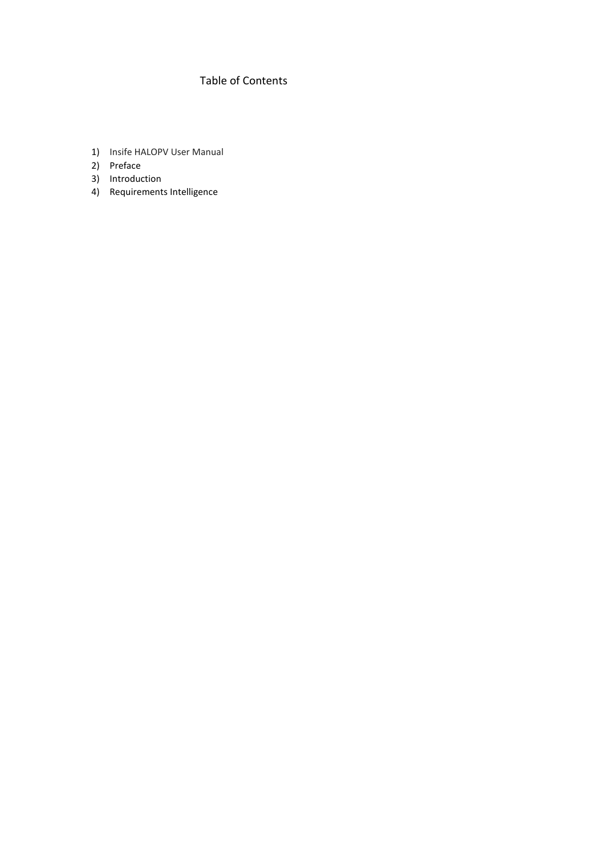# Table of Contents

- 1) Insife HALOPV User Manual
- 2) Preface
- 3) Introduction
- 4) Requirements Intelligence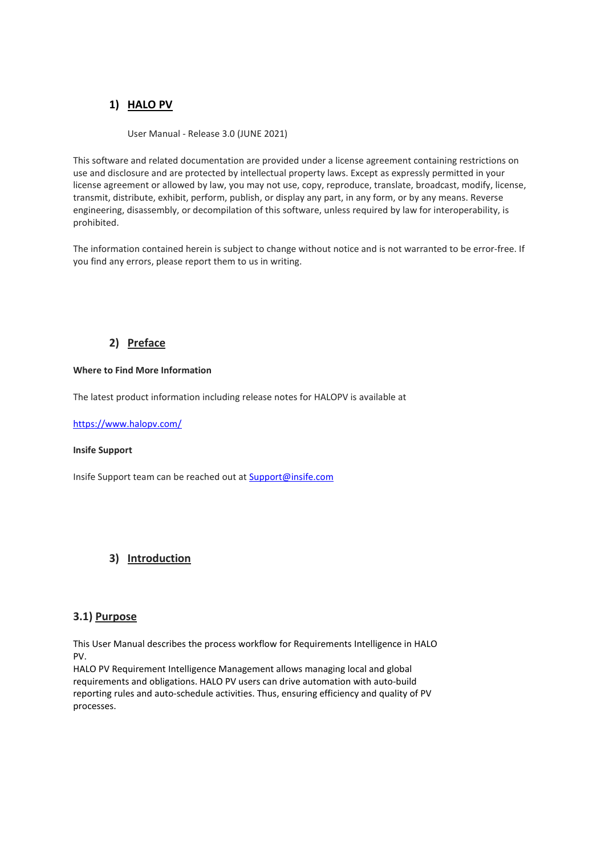# **1) HALO PV**

User Manual - Release 3.0 (JUNE 2021)

This software and related documentation are provided under a license agreement containing restrictions on use and disclosure and are protected by intellectual property laws. Except as expressly permitted in your license agreement or allowed by law, you may not use, copy, reproduce, translate, broadcast, modify, license, transmit, distribute, exhibit, perform, publish, or display any part, in any form, or by any means. Reverse engineering, disassembly, or decompilation of this software, unless required by law for interoperability, is prohibited.

The information contained herein is subject to change without notice and is not warranted to be error-free. If you find any errors, please report them to us in writing.

# **2) Preface**

#### **Where to Find More Information**

The latest product information including release notes for HALOPV is available at

<https://www.halopv.com/>

#### **Insife Support**

Insife Support team can be reached out at [Support@insife.com](mailto:Support@insife.com)

# **3) Introduction**

### **3.1) Purpose**

This User Manual describes the process workflow for Requirements Intelligence in HALO PV.

HALO PV Requirement Intelligence Management allows managing local and global requirements and obligations. HALO PV users can drive automation with auto-build reporting rules and auto-schedule activities. Thus, ensuring efficiency and quality of PV processes.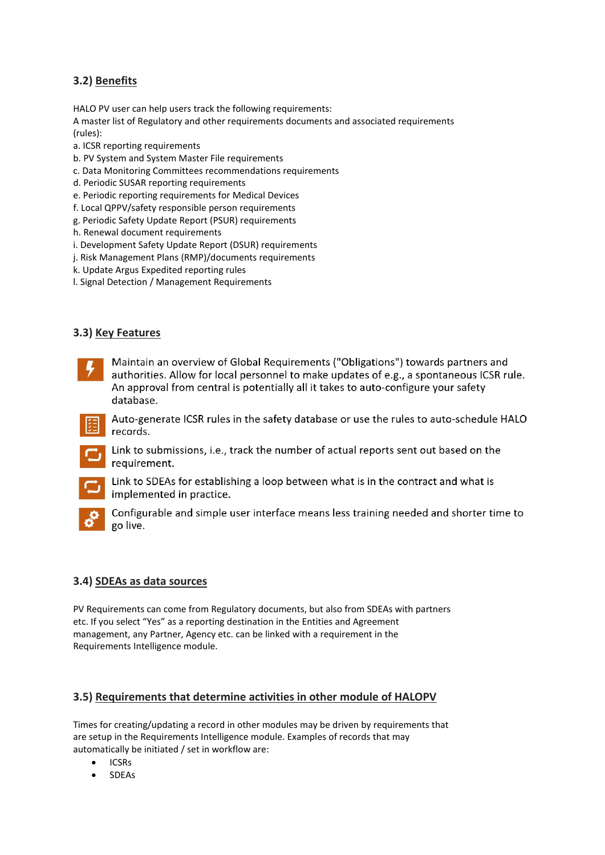# **3.2) Benefits**

HALO PV user can help users track the following requirements:

A master list of Regulatory and other requirements documents and associated requirements (rules):

- a. ICSR reporting requirements
- b. PV System and System Master File requirements
- c. Data Monitoring Committees recommendations requirements
- d. Periodic SUSAR reporting requirements
- e. Periodic reporting requirements for Medical Devices
- f. Local QPPV/safety responsible person requirements
- g. Periodic Safety Update Report (PSUR) requirements
- h. Renewal document requirements
- i. Development Safety Update Report (DSUR) requirements
- j. Risk Management Plans (RMP)/documents requirements
- k. Update Argus Expedited reporting rules
- l. Signal Detection / Management Requirements

# **3.3) Key Features**



Maintain an overview of Global Requirements ("Obligations") towards partners and authorities. Allow for local personnel to make updates of e.g., a spontaneous ICSR rule. An approval from central is potentially all it takes to auto-configure your safety database.

Auto-generate ICSR rules in the safety database or use the rules to auto-schedule HALO records.





Link to SDEAs for establishing a loop between what is in the contract and what is implemented in practice.



Configurable and simple user interface means less training needed and shorter time to go live.

# **3.4) SDEAs as data sources**

PV Requirements can come from Regulatory documents, but also from SDEAs with partners etc. If you select "Yes" as a reporting destination in the Entities and Agreement management, any Partner, Agency etc. can be linked with a requirement in the Requirements Intelligence module.

# **3.5) Requirements that determine activities in other module of HALOPV**

Times for creating/updating a record in other modules may be driven by requirements that are setup in the Requirements Intelligence module. Examples of records that may automatically be initiated / set in workflow are:

- ICSRs
- SDEAs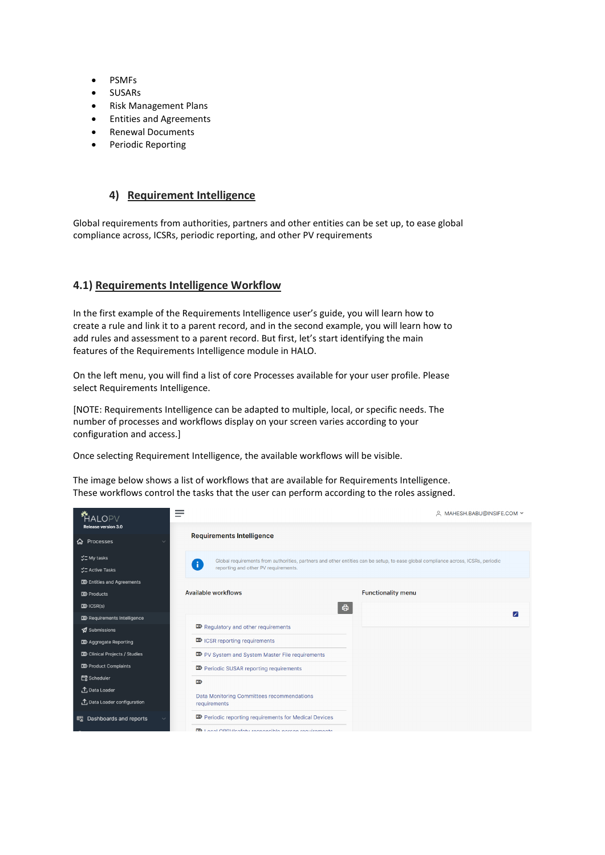- PSMFs
- SUSARs
- Risk Management Plans
- Entities and Agreements
- Renewal Documents
- Periodic Reporting

### **4) Requirement Intelligence**

Global requirements from authorities, partners and other entities can be set up, to ease global compliance across, ICSRs, periodic reporting, and other PV requirements

### **4.1) Requirements Intelligence Workflow**

In the first example of the Requirements Intelligence user's guide, you will learn how to create a rule and link it to a parent record, and in the second example, you will learn how to add rules and assessment to a parent record. But first, let's start identifying the main features of the Requirements Intelligence module in HALO.

On the left menu, you will find a list of core Processes available for your user profile. Please select Requirements Intelligence.

[NOTE: Requirements Intelligence can be adapted to multiple, local, or specific needs. The number of processes and workflows display on your screen varies according to your configuration and access.]

Once selecting Requirement Intelligence, the available workflows will be visible.

The image below shows a list of workflows that are available for Requirements Intelligence. These workflows control the tasks that the user can perform according to the roles assigned.

| AI OPV                                                                                                            | –                                                                                                                                                                                          | A MAHESH.BABU@INSIFE.COM Y                                                                                                        |
|-------------------------------------------------------------------------------------------------------------------|--------------------------------------------------------------------------------------------------------------------------------------------------------------------------------------------|-----------------------------------------------------------------------------------------------------------------------------------|
| Release version 3.0<br><b>命</b> Processes                                                                         | <b>Requirements Intelligence</b>                                                                                                                                                           |                                                                                                                                   |
| ご My tasks<br><b>ンニ</b> Active Tasks                                                                              | $\mathbf{J}$<br>reporting and other PV requirements.                                                                                                                                       | Global requirements from authorities, partners and other entities can be setup, to ease global compliance across, ICSRs, periodic |
| <b>D</b> > Entities and Agreements<br>$\mathbf{D}$ Products<br>$D\!\!\!\!\!\Sigma$ ICSR(s)                        | Available workflows<br>一番                                                                                                                                                                  | <b>Functionality menu</b>                                                                                                         |
| <b>D</b> >Requirements Intelligence<br>Submissions<br><b>D</b> Aggregate Reporting                                | <b>D</b> Regulatory and other requirements<br>$\mathbf{\mathbb{Z}}$ ICSR reporting requirements                                                                                            |                                                                                                                                   |
| <b>D</b> Clinical Projects / Studies<br><b>D</b> Product Complaints<br><b>最</b> Scheduler<br><b>↑</b> Data Loader | <b>DO</b> PV System and System Master File requirements<br><b>EXP</b> Periodic SUSAR reporting requirements<br>$\mathbf{D}$                                                                |                                                                                                                                   |
| ↑ Data Loader configuration<br>END Dashboards and reports                                                         | Data Monitoring Committees recommendations<br>requirements<br><b>EXP</b> Periodic reporting requirements for Medical Devices<br><b>BD</b> Local ODDWeafaty reconocible person requirements |                                                                                                                                   |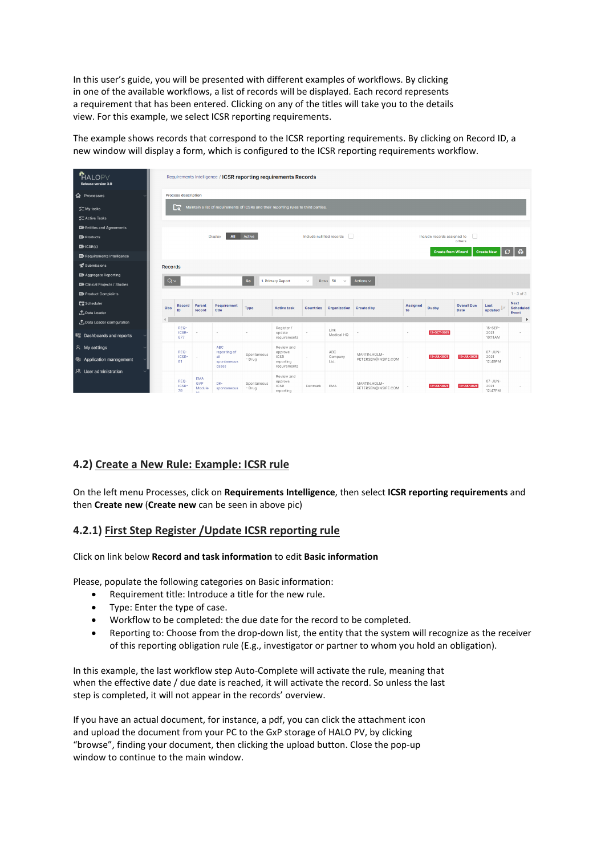In this user's guide, you will be presented with different examples of workflows. By clicking in one of the available workflows, a list of records will be displayed. Each record represents a requirement that has been entered. Clicking on any of the titles will take you to the details view. For this example, we select ICSR reporting requirements.

The example shows records that correspond to the ICSR reporting requirements. By clicking on Record ID, a new window will display a form, which is configured to the ICSR reporting requirements workflow.

| <b>*HALOPV</b><br><b>Release version 3.0</b> | Requirements Intelligence / ICSR reporting requirements Records                                                      |                                 |                             |                             |                       |                                                       |                  |                              |                                     |                 |                           |                    |                                 |                                 |
|----------------------------------------------|----------------------------------------------------------------------------------------------------------------------|---------------------------------|-----------------------------|-----------------------------|-----------------------|-------------------------------------------------------|------------------|------------------------------|-------------------------------------|-----------------|---------------------------|--------------------|---------------------------------|---------------------------------|
| <b>命</b> Processes                           | <b>Process description</b>                                                                                           |                                 |                             |                             |                       |                                                       |                  |                              |                                     |                 |                           |                    |                                 |                                 |
| " My tasks                                   | ⊡<br>Maintain a list of requirements of ICSRs and their reporting rules to third parties.                            |                                 |                             |                             |                       |                                                       |                  |                              |                                     |                 |                           |                    |                                 |                                 |
| <b>ご Active Tasks</b>                        |                                                                                                                      |                                 |                             |                             |                       |                                                       |                  |                              |                                     |                 |                           |                    |                                 |                                 |
|                                              |                                                                                                                      |                                 |                             |                             |                       |                                                       |                  |                              |                                     |                 |                           |                    |                                 |                                 |
| <b>DO</b> Entities and Agreements            |                                                                                                                      |                                 |                             |                             |                       |                                                       |                  |                              |                                     |                 |                           |                    |                                 |                                 |
| $\overline{\mathbf{D}}$ Products             | Active<br>n<br>All<br>Include nullified records<br>$\Box$<br>Include records assigned to<br><b>Display</b><br>others |                                 |                             |                             |                       |                                                       |                  |                              |                                     |                 |                           |                    |                                 |                                 |
| $D\!\!\!\!\!\Sigma$ ICSR(s)                  |                                                                                                                      |                                 |                             |                             |                       |                                                       |                  |                              |                                     |                 | <b>Create from Wizard</b> |                    | <b>Create New</b>               | - 岳<br>$\mathbf{G}$             |
| <b>22 Requirements Intelligence</b>          |                                                                                                                      |                                 |                             |                             |                       |                                                       |                  |                              |                                     |                 |                           |                    |                                 |                                 |
| Submissions                                  | <b>Records</b>                                                                                                       |                                 |                             |                             |                       |                                                       |                  |                              |                                     |                 |                           |                    |                                 |                                 |
| <b>D</b> Aggregate Reporting                 | $Q \vee$                                                                                                             |                                 |                             |                             | Go                    | 1. Primary Report                                     | $\checkmark$     | Rows <sub>50</sub><br>$\sim$ | Actions $\vee$                      |                 |                           |                    |                                 |                                 |
| <b>DD</b> Clinical Projects / Studies        |                                                                                                                      |                                 |                             |                             |                       |                                                       |                  |                              |                                     |                 |                           |                    |                                 |                                 |
| <b>DD</b> Product Complaints                 |                                                                                                                      |                                 |                             |                             |                       |                                                       |                  |                              |                                     |                 |                           |                    |                                 | $1 - 3$ of 3                    |
| <b>最</b> Scheduler                           | Obs                                                                                                                  | <b>Record</b>                   | Parent                      | <b>Requirement</b>          | Type                  | <b>Active task</b>                                    | <b>Countries</b> | Organization                 | Created by                          | <b>Assigned</b> | <b>Dueby</b>              | <b>Overall Due</b> | Last<br>ĮΞ                      | <b>Next</b><br><b>Scheduled</b> |
| <b>1</b> Data Loader                         |                                                                                                                      | ID                              | record                      | title                       |                       |                                                       |                  |                              |                                     | to              |                           | Date               | updated                         | Event                           |
| <b>↑</b> Data Loader configuration           |                                                                                                                      |                                 |                             |                             |                       |                                                       |                  |                              |                                     |                 |                           |                    |                                 | Þ                               |
| E Dashboards and reports                     |                                                                                                                      | REQ-<br>ICSR-<br>677            |                             |                             |                       | Register /<br>update<br>requirements                  |                  | Link<br>Medical HQ           |                                     | $\sim$          | 13-OCT-2021               |                    | $15 - SEP -$<br>2021<br>10:11AM |                                 |
| R My settings                                |                                                                                                                      | REQ-                            |                             | <b>ABC</b><br>reporting of  | Spontaneous           | Review and<br>approve                                 |                  | ABC                          | MARTIN.HOLM-                        |                 |                           |                    | $07 - JUN -$                    |                                 |
| @ Application management                     |                                                                                                                      | ICSR-<br>81                     | i,                          | all<br>spontaneous<br>cases | - Drug                | <b>ICSR</b><br>reporting<br>requirements              |                  | Company<br>Ltd.              | PETERSEN@INSIFE.COM                 |                 | 13-JUL-2021               | 13-JUL-2021        | 2021<br>12:49PM                 |                                 |
| R User administration                        |                                                                                                                      | REQ-<br>ICSR-<br>$\overline{a}$ | <b>EMA</b><br>GVP<br>Module | DK-<br>spontaneous          | Spontaneous<br>- Drug | Review and<br>approve<br><b>ICSR</b><br>www.wadda.com | Denmark          | EMA                          | MARTIN.HOLM-<br>PETERSEN@INSIFE.COM |                 | 13-JUL-2021               | 13-JUL-2021        | 07-JUN-<br>2021<br>SOLATELL.    |                                 |

### **4.2) Create a New Rule: Example: ICSR rule**

On the left menu Processes, click on **Requirements Intelligence**, then select **ICSR reporting requirements** and then **Create new** (**Create new** can be seen in above pic)

### **4.2.1) First Step Register /Update ICSR reporting rule**

Click on link below **Record and task information** to edit **Basic information**

Please, populate the following categories on Basic information:

- Requirement title: Introduce a title for the new rule.
- Type: Enter the type of case.
- Workflow to be completed: the due date for the record to be completed.
- Reporting to: Choose from the drop-down list, the entity that the system will recognize as the receiver of this reporting obligation rule (E.g., investigator or partner to whom you hold an obligation).

In this example, the last workflow step Auto-Complete will activate the rule, meaning that when the effective date / due date is reached, it will activate the record. So unless the last step is completed, it will not appear in the records' overview.

If you have an actual document, for instance, a pdf, you can click the attachment icon and upload the document from your PC to the GxP storage of HALO PV, by clicking "browse", finding your document, then clicking the upload button. Close the pop-up window to continue to the main window.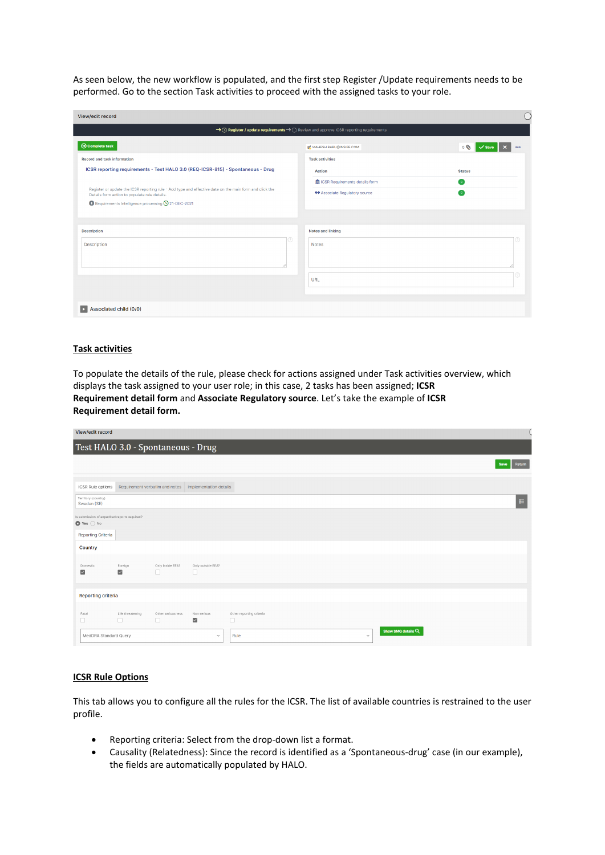As seen below, the new workflow is populated, and the first step Register /Update requirements needs to be performed. Go to the section Task activities to proceed with the assigned tasks to your role.

| View/edit record                                                                                                                                         |                                                                                       |                               |
|----------------------------------------------------------------------------------------------------------------------------------------------------------|---------------------------------------------------------------------------------------|-------------------------------|
|                                                                                                                                                          | → ① Register / update requirements → O Review and approve ICSR reporting requirements |                               |
| <b>⊙</b> Complete task                                                                                                                                   | <b>IZ</b> MAHESH.BABU@INSIFE.COM                                                      | $\circ$<br>000<br><b>Save</b> |
| <b>Record and task information</b>                                                                                                                       | <b>Task activities</b>                                                                |                               |
| ICSR reporting requirements - Test HALO 3.0 (REQ-ICSR-815) - Spontaneous - Drug                                                                          | <b>Action</b>                                                                         | <b>Status</b>                 |
|                                                                                                                                                          | <b>A ICSR Requirements details form</b>                                               | $\bullet$                     |
| Register or update the ICSR reporting rule - Add type and effective date on the main form and click the<br>Details form action to populate rule details. | ← Associate Regulatory source                                                         | $\bullet$                     |
| Requirements Intelligence processing <b>Q</b> 21-DEC-2021                                                                                                |                                                                                       |                               |
|                                                                                                                                                          |                                                                                       |                               |
| <b>Description</b>                                                                                                                                       | <b>Notes and linking</b>                                                              |                               |
| [?)<br><b>Description</b>                                                                                                                                | <b>Notes</b>                                                                          |                               |
|                                                                                                                                                          |                                                                                       |                               |
|                                                                                                                                                          |                                                                                       |                               |
|                                                                                                                                                          | <b>URL</b>                                                                            |                               |
|                                                                                                                                                          |                                                                                       |                               |
|                                                                                                                                                          |                                                                                       |                               |
| Associated child (0/0)<br>×                                                                                                                              |                                                                                       |                               |

#### **Task activities**

To populate the details of the rule, please check for actions assigned under Task activities overview, which displays the task assigned to your user role; in this case, 2 tasks has been assigned; **ICSR Requirement detail form** and **Associate Regulatory source**. Let's take the example of **ICSR Requirement detail form.**

| View/edit record                                                            |                            |                             |                                                         |                                            |        |
|-----------------------------------------------------------------------------|----------------------------|-----------------------------|---------------------------------------------------------|--------------------------------------------|--------|
| Test HALO 3.0 - Spontaneous - Drug                                          |                            |                             |                                                         |                                            |        |
|                                                                             |                            |                             |                                                         | <b>Save</b>                                | Return |
| ICSR Rule options                                                           |                            |                             | Requirement verbatim and notes   Implementation details |                                            |        |
| Territory (country)<br>Sweden (SE)                                          |                            |                             |                                                         |                                            | H≣     |
| Is submission of expedited reports required?<br>$\bullet$ Yes $\bigcirc$ No |                            |                             |                                                         |                                            |        |
| <b>Reporting Criteria</b>                                                   |                            |                             |                                                         |                                            |        |
| Country                                                                     |                            |                             |                                                         |                                            |        |
| Domestic<br>$\overline{\checkmark}$                                         | Foreign<br>$\checkmark$    | Only Inside EEA?<br>$\Box$  | Only outside EEA?<br>$\Box$                             |                                            |        |
| Reporting criteria                                                          |                            |                             |                                                         |                                            |        |
| Fatal<br>$\Box$                                                             | Life threatening<br>$\Box$ | Other seriousness<br>$\Box$ | Non serious<br>$\overline{\mathsf{S}}$                  | Other reporting criteria<br>$\Box$         |        |
| MedDRA Standard Query                                                       |                            |                             | $\checkmark$                                            | Show SMQ details Q<br>Rule<br>$\checkmark$ |        |

#### **ICSR Rule Options**

This tab allows you to configure all the rules for the ICSR. The list of available countries is restrained to the user profile.

- Reporting criteria: Select from the drop-down list a format.
- Causality (Relatedness): Since the record is identified as a 'Spontaneous-drug' case (in our example), the fields are automatically populated by HALO.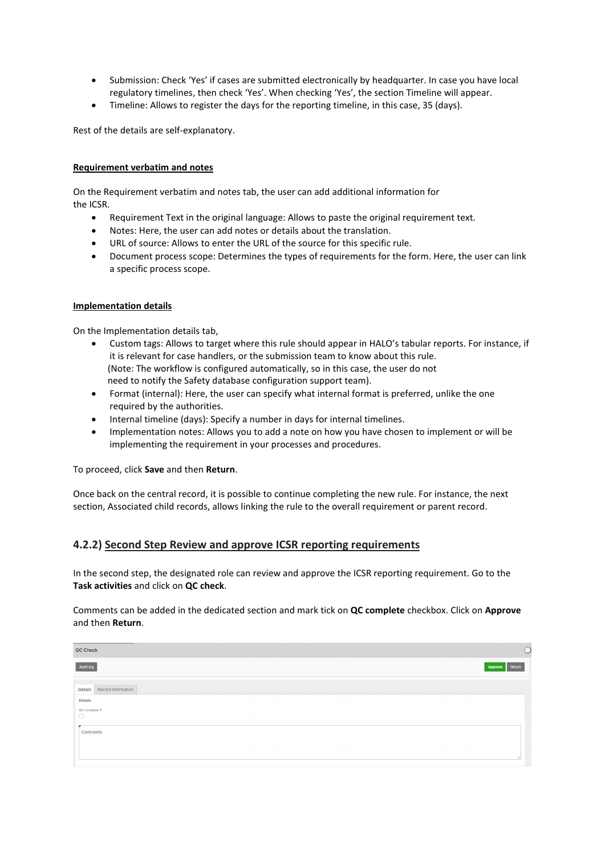- Submission: Check 'Yes' if cases are submitted electronically by headquarter. In case you have local regulatory timelines, then check 'Yes'. When checking 'Yes', the section Timeline will appear.
- Timeline: Allows to register the days for the reporting timeline, in this case, 35 (days).

Rest of the details are self-explanatory.

#### **Requirement verbatim and notes**

On the Requirement verbatim and notes tab, the user can add additional information for the ICSR.

- Requirement Text in the original language: Allows to paste the original requirement text.
- Notes: Here, the user can add notes or details about the translation.
- URL of source: Allows to enter the URL of the source for this specific rule.
- Document process scope: Determines the types of requirements for the form. Here, the user can link a specific process scope.

#### **Implementation details**

On the Implementation details tab,

- Custom tags: Allows to target where this rule should appear in HALO's tabular reports. For instance, if it is relevant for case handlers, or the submission team to know about this rule. (Note: The workflow is configured automatically, so in this case, the user do not need to notify the Safety database configuration support team).
- Format (internal): Here, the user can specify what internal format is preferred, unlike the one required by the authorities.
- Internal timeline (days): Specify a number in days for internal timelines.
- Implementation notes: Allows you to add a note on how you have chosen to implement or will be implementing the requirement in your processes and procedures.

To proceed, click **Save** and then **Return**.

Once back on the central record, it is possible to continue completing the new rule. For instance, the next section, Associated child records, allows linking the rule to the overall requirement or parent record.

### **4.2.2) Second Step Review and approve ICSR reporting requirements**

In the second step, the designated role can review and approve the ICSR reporting requirement. Go to the **Task activities** and click on **QC check**.

Comments can be added in the dedicated section and mark tick on **QC complete** checkbox. Click on **Approve** and then **Return**.

| QC Check                   |                |
|----------------------------|----------------|
| Audit log                  | Approve Return |
| Details Record information |                |
| Details<br>QC complete *   |                |
| 0                          |                |
| Comments                   |                |
|                            |                |
|                            | 11             |